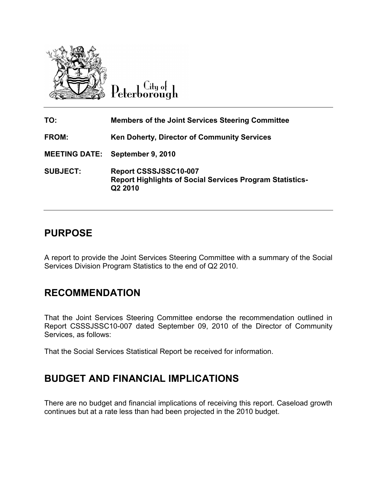

 $Cl$ ty of Peterborough

| TO:                  | <b>Members of the Joint Services Steering Committee</b>                                             |
|----------------------|-----------------------------------------------------------------------------------------------------|
| FROM:                | <b>Ken Doherty, Director of Community Services</b>                                                  |
| <b>MEETING DATE:</b> | September 9, 2010                                                                                   |
| <b>SUBJECT:</b>      | Report CSSSJSSC10-007<br><b>Report Highlights of Social Services Program Statistics-</b><br>Q2 2010 |

## PURPOSE

A report to provide the Joint Services Steering Committee with a summary of the Social Services Division Program Statistics to the end of Q2 2010.

## RECOMMENDATION

That the Joint Services Steering Committee endorse the recommendation outlined in Report CSSSJSSC10-007 dated September 09, 2010 of the Director of Community Services, as follows:

That the Social Services Statistical Report be received for information.

## BUDGET AND FINANCIAL IMPLICATIONS

There are no budget and financial implications of receiving this report. Caseload growth continues but at a rate less than had been projected in the 2010 budget.